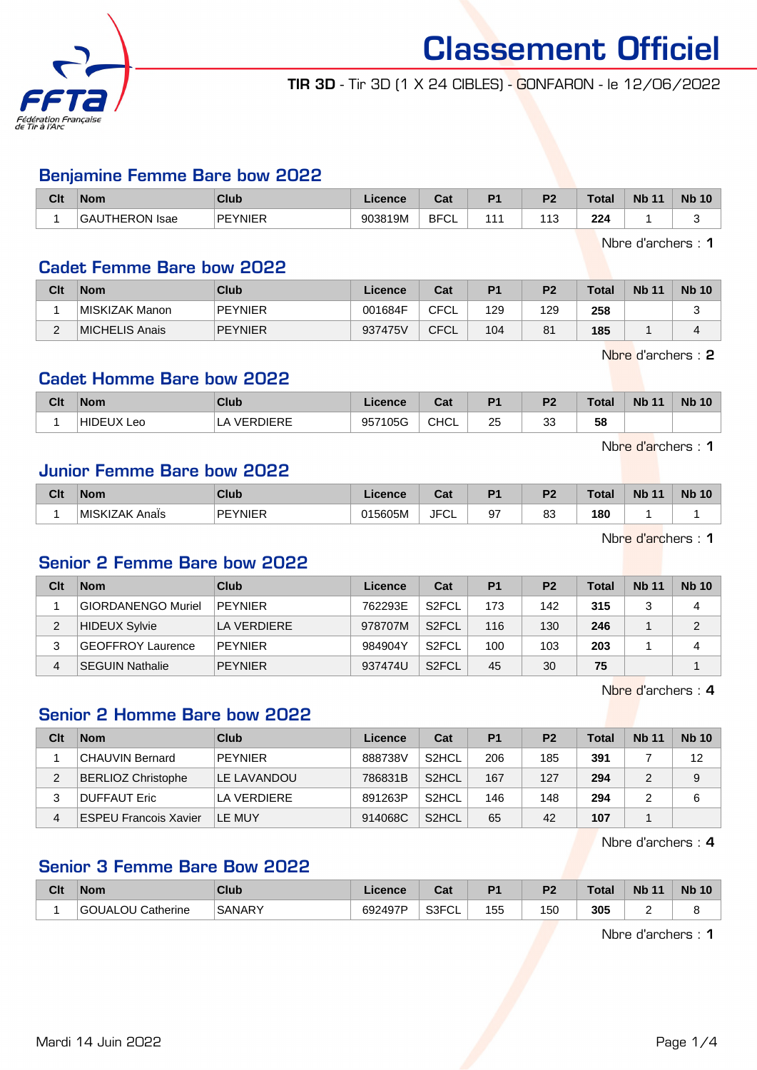

TIR 3D - Tir 3D (1 X 24 CIBLES) - GONFARON - le 12/06/2022

#### Benjamine Femme Bare bow 2022

| Clt | <b>Nom</b>     | Club           | Licence | $R_{\rm{eff}}$<br>udu | D <sub>4</sub> | n.  | $\tau$ otal | <b>Nb 11</b> | <b>Nb 10</b> |
|-----|----------------|----------------|---------|-----------------------|----------------|-----|-------------|--------------|--------------|
|     | GAUTHERON Isae | <b>PFYNIFR</b> | 903819M | <b>BFCL</b><br>ັບ∟    | $\overline{ }$ | 113 | 224         |              |              |

Nbre d'archers : 1

#### Cadet Femme Bare bow 2022

| Clt    | <b>Nom</b>     | Club           | Licence | Cat         | P <sub>1</sub> | P <sub>2</sub> | Total | <b>Nb 11</b> | <b>Nb 10</b> |
|--------|----------------|----------------|---------|-------------|----------------|----------------|-------|--------------|--------------|
|        | MISKIZAK Manon | <b>PEYNIER</b> | 001684F | CFCL        | 129            | 129            | 258   |              | ∼            |
| $\sim$ | MICHELIS Anais | <b>PEYNIER</b> | 937475V | <b>CFCL</b> | 104            | 81             | 185   |              |              |

Nbre d'archers : 2

#### Cadet Homme Bare bow 2022

| Clt | <b>Nom</b>         | Club                      | <b>Licence</b> | ∩^∗<br>uai  | D <sub>1</sub> | פם<br>z | <b>Total</b> | <b>Nb 11</b> | <b>Nb 10</b> |
|-----|--------------------|---------------------------|----------------|-------------|----------------|---------|--------------|--------------|--------------|
|     | <b>HIDE</b><br>Leo | <b>/EDNIEDE</b><br>P<br>╌ | 957105G        | <b>CHCL</b> | 25             | າາ<br>ິ | 58           |              |              |

Nbre d'archers : 1

## Junior Femme Bare bow 2022

| Clt | <b>Nom</b>                 | Club           | Licence | ◠∼<br>ual   | D <sub>4</sub> | D <sub>2</sub> | <b>Total</b> | <b>Nb</b><br>$\overline{A}$ | <b>Nb</b><br>10 |
|-----|----------------------------|----------------|---------|-------------|----------------|----------------|--------------|-----------------------------|-----------------|
|     | <b>MISKIZAK A</b><br>Anais | <b>PEYNIER</b> | 015605M | <b>JFCL</b> | 97             | $\circ$<br>ია  | 180<br>__    |                             |                 |

Nbre d'archers : 1

#### Senior 2 Femme Bare bow 2022

| Clt | <b>Nom</b>             | Club        | Licence | Cat                | P <sub>1</sub> | P <sub>2</sub> | Total | <b>Nb 11</b> | <b>Nb 10</b> |
|-----|------------------------|-------------|---------|--------------------|----------------|----------------|-------|--------------|--------------|
|     | GIORDANENGO Muriel     | PEYNIER     | 762293E | S <sub>2</sub> FCL | 173            | 142            | 315   |              | 4            |
| 2   | <b>HIDEUX Sylvie</b>   | LA VERDIERE | 978707M | S <sub>2</sub> FCL | 116            | 130            | 246   |              | C            |
| 3   | GEOFFROY Laurence      | PEYNIER     | 984904Y | S <sub>2</sub> FCL | 100            | 103            | 203   |              | 4            |
| 4   | <b>SEGUIN Nathalie</b> | PEYNIER     | 937474U | S <sub>2</sub> FCL | 45             | 30             | 75    |              |              |

Nbre d'archers : 4

## Senior 2 Homme Bare bow 2022

| Clt | <b>Nom</b>                | Club           | Licence | Cat                | P <sub>1</sub> | P <sub>2</sub> | Total | <b>Nb 11</b> | <b>Nb 10</b> |
|-----|---------------------------|----------------|---------|--------------------|----------------|----------------|-------|--------------|--------------|
|     | CHAUVIN Bernard           | PEYNIER        | 888738V | S <sub>2</sub> HCL | 206            | 185            | 391   |              | 12           |
| 2   | <b>BERLIOZ Christophe</b> | LE LAVANDOU    | 786831B | S <sub>2</sub> HCL | 167            | 127            | 294   |              | 9            |
| 3   | DUFFAUT Eric              | LA VERDIERE    | 891263P | S <sub>2</sub> HCL | 146            | 148            | 294   |              | 6            |
| 4   | ESPEU Francois Xavier     | <b>ILE MUY</b> | 914068C | S <sub>2</sub> HCL | 65             | 42             | 107   |              |              |

Nbre d'archers : 4

## Senior 3 Femme Bare Bow 2022

| Clt | <b>Nom</b>                  | <b>Club</b>   | .icence | ◠ឹ៶<br><b>val</b>        | D4  | no. | $\tau$ otal | <b>N<sub>b</sub></b><br>11 | <b>Nb</b><br>10 <sup>°</sup> |
|-----|-----------------------------|---------------|---------|--------------------------|-----|-----|-------------|----------------------------|------------------------------|
|     | Catherine<br><b>GOUALOU</b> | <b>SANARY</b> | 692497P | S <sub>3</sub> FCI<br>◡∟ | 155 | 150 | 305         |                            |                              |

Nbre d'archers : 1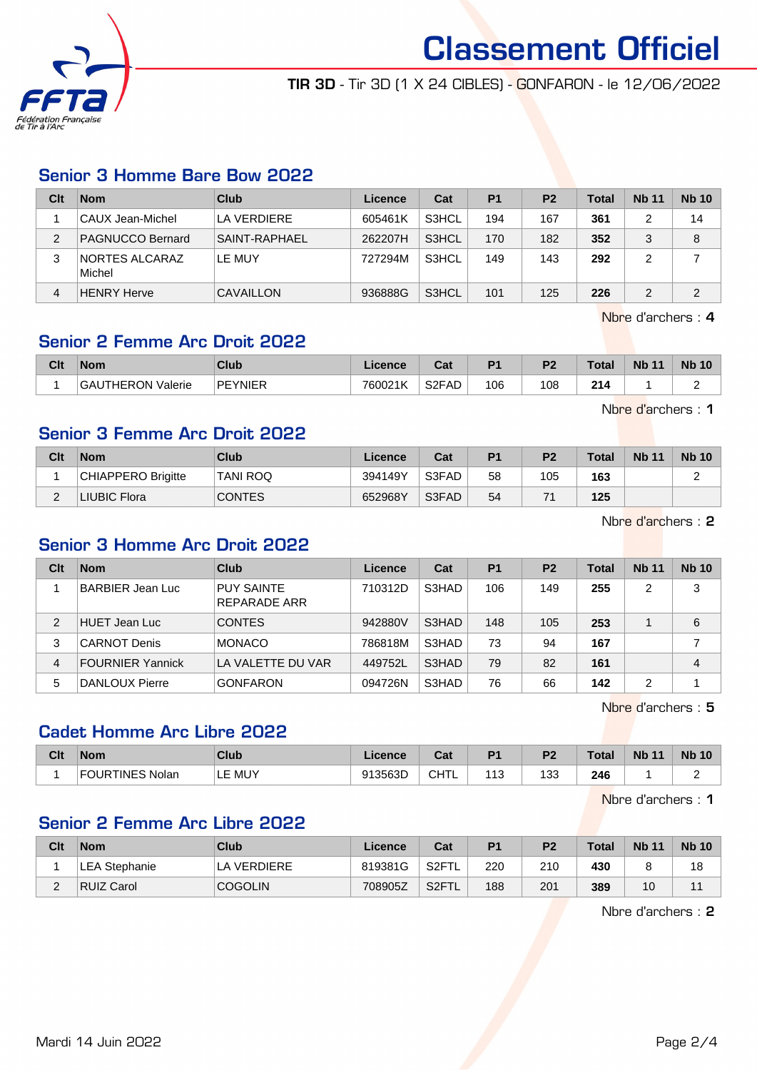

TIR 3D - Tir 3D (1 X 24 CIBLES) - GONFARON - le 12/06/2022

## Senior 3 Homme Bare Bow 2022

| Clt | <b>Nom</b>                      | Club             | Licence | Cat   | P <sub>1</sub> | P <sub>2</sub> | <b>Total</b> | <b>Nb 11</b> | <b>Nb 10</b> |
|-----|---------------------------------|------------------|---------|-------|----------------|----------------|--------------|--------------|--------------|
|     | ∣CAUX Jean-Michel               | LA VERDIERE      | 605461K | S3HCL | 194            | 167            | 361          |              | 14           |
| 2   | PAGNUCCO Bernard                | SAINT-RAPHAFL    | 262207H | S3HCL | 170            | 182            | 352          |              | 8            |
| 3   | <b>NORTES ALCARAZ</b><br>Michel | LE MUY           | 727294M | S3HCL | 149            | 143            | 292          |              |              |
| 4   | <b>HENRY Herve</b>              | <b>CAVAILLON</b> | 936888G | S3HCL | 101            | 125            | 226          |              | 2            |

Nbre d'archers : 4

## Senior 2 Femme Arc Droit 2022

| Clt | <b>Nom</b>                       | Club           | <b>Licence</b> | ◠⌒:<br>va.         | D.  | D <sub>2</sub> | <b>Total</b> | <b>N<sub>b</sub></b><br>$\overline{A}$ | <b>N<sub>b</sub></b> |
|-----|----------------------------------|----------------|----------------|--------------------|-----|----------------|--------------|----------------------------------------|----------------------|
|     | <b>ITHERON</b><br>GAL<br>Valerie | <b>PEYNIER</b> | 760021K        | S <sub>2</sub> FAD | 106 | 108            | 214          |                                        |                      |

Nbre d'archers : 1

# Senior 3 Femme Arc Droit 2022

| Clt | <b>Nom</b>         | <b>Club</b>     | Licence | Cat   | P <sub>1</sub> | P <sub>2</sub> | <b>Total</b> | <b>Nb 11</b> | <b>Nb 10</b> |
|-----|--------------------|-----------------|---------|-------|----------------|----------------|--------------|--------------|--------------|
|     | CHIAPPERO Brigitte | <b>TANI ROQ</b> | 394149Y | S3FAD | 58             | 105            | 163          |              |              |
|     | LIUBIC Flora       | <b>CONTES</b>   | 652968Y | S3FAD | 54             |                | 125          |              |              |

Nbre d'archers : 2

# Senior 3 Homme Arc Droit 2022

| Clt | <b>Nom</b>              | Club                              | Licence | Cat   | P <sub>1</sub> | <b>P2</b> | Total | <b>Nb 11</b> | <b>Nb 10</b> |
|-----|-------------------------|-----------------------------------|---------|-------|----------------|-----------|-------|--------------|--------------|
|     | <b>BARBIER Jean Luc</b> | <b>PUY SAINTE</b><br>REPARADE ARR | 710312D | S3HAD | 106            | 149       | 255   | 2            | 3            |
| 2   | <b>HUET Jean Luc</b>    | <b>CONTES</b>                     | 942880V | S3HAD | 148            | 105       | 253   |              | 6            |
| 3   | <b>CARNOT Denis</b>     | <b>MONACO</b>                     | 786818M | S3HAD | 73             | 94        | 167   |              |              |
| 4   | <b>FOURNIER Yannick</b> | LA VALETTE DU VAR                 | 449752L | S3HAD | 79             | 82        | 161   |              | 4            |
| 5   | DANLOUX Pierre          | <b>GONFARON</b>                   | 094726N | S3HAD | 76             | 66        | 142   | 2            |              |

Nbre d'archers : 5

# Cadet Homme Arc Libre 2022

| <b>Clt</b> | <b>Nom</b>             | Club          | .icence | $n_{\rm at}$<br>⊍ل | D4                   | D.<br>. .         | Total         | <b>Nb</b><br>$\overline{44}$ | <b>Nb 10</b> |
|------------|------------------------|---------------|---------|--------------------|----------------------|-------------------|---------------|------------------------------|--------------|
|            | <b>FOURTINES Nolan</b> | MUY<br>-<br>∸ | 913563D | ∩⊔⊤<br>◡᠁          | $\overline{A}$<br>ື່ | מ פו<br>ט י<br>__ | 246<br>$\sim$ |                              |              |

Nbre d'archers : 1

## Senior 2 Femme Arc Libre 2022

| Clt | <b>Nom</b>           | Club           | Licence | Cat                | P <sub>1</sub> | P <sub>2</sub> | <b>Total</b> | <b>Nb 11</b>    | <b>Nb 10</b> |
|-----|----------------------|----------------|---------|--------------------|----------------|----------------|--------------|-----------------|--------------|
|     | <b>LEA Stephanie</b> | LA VERDIERE    | 819381G | S2FTL              | 220            | 210            | 430          |                 | 18           |
| _   | RUIZ Carol           | <b>COGOLIN</b> | 708905Z | S <sub>2</sub> FTL | 188            | 201            | 389          | 10 <sup>°</sup> |              |

Nbre d'archers : 2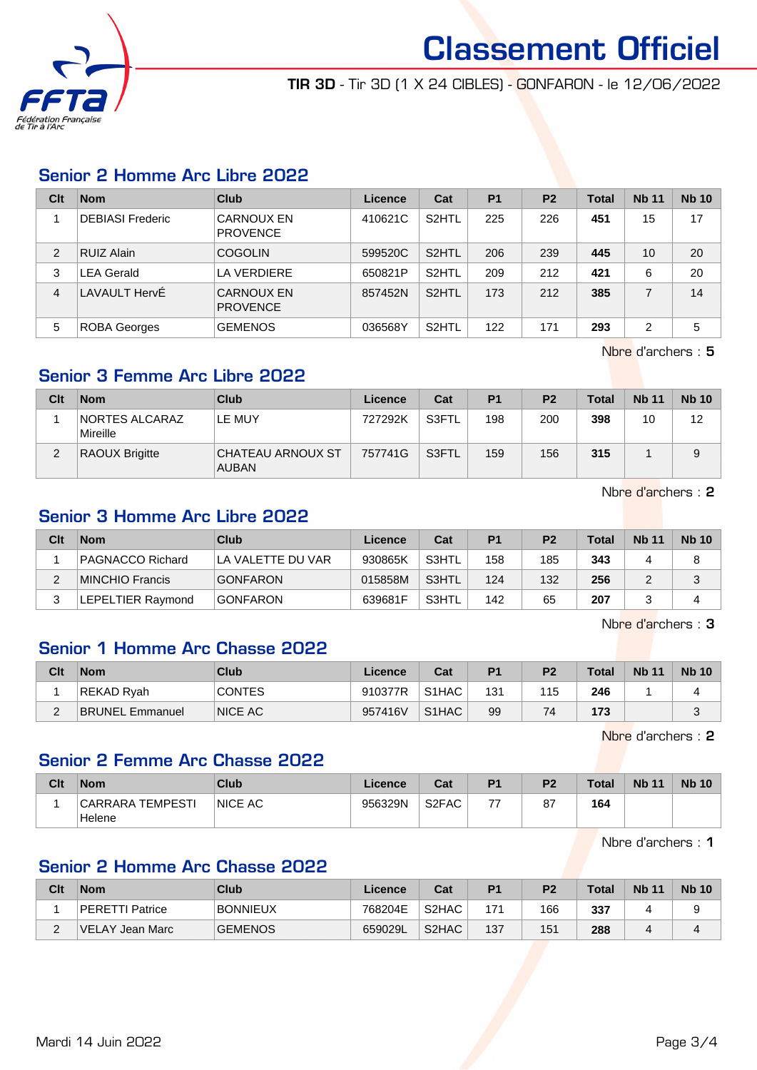

TIR 3D - Tir 3D (1 X 24 CIBLES) - GONFARON - le 12/06/2022

## Senior 2 Homme Arc Libre 2022

| Clt | <b>Nom</b>              | Club                                 | Licence | Cat                | P <sub>1</sub> | P <sub>2</sub> | <b>Total</b> | <b>Nb 11</b> | <b>Nb 10</b> |
|-----|-------------------------|--------------------------------------|---------|--------------------|----------------|----------------|--------------|--------------|--------------|
|     | <b>DEBIASI Frederic</b> | <b>CARNOUX EN</b><br><b>PROVENCE</b> | 410621C | S <sub>2</sub> HTL | 225            | 226            | 451          | 15           | 17           |
| 2   | <b>RUIZ Alain</b>       | <b>COGOLIN</b>                       | 599520C | S <sub>2</sub> HTL | 206            | 239            | 445          | 10           | 20           |
| 3   | <b>LEA Gerald</b>       | LA VERDIERE                          | 650821P | S <sub>2</sub> HTL | 209            | 212            | 421          | 6            | 20           |
| 4   | LAVAULT HervÉ           | <b>CARNOUX EN</b><br><b>PROVENCE</b> | 857452N | S <sub>2</sub> HTL | 173            | 212            | 385          |              | 14           |
| 5   | <b>ROBA Georges</b>     | <b>GEMENOS</b>                       | 036568Y | S <sub>2</sub> HTL | 122            | 171            | 293          | ົ            | 5            |

Nbre d'archers : 5

## Senior 3 Femme Arc Libre 2022

| Clt | <b>Nom</b>                        | Club                              | Licence | Cat   | <b>P1</b> | P <sub>2</sub> | Total | <b>Nb 11</b> | <b>Nb 10</b> |
|-----|-----------------------------------|-----------------------------------|---------|-------|-----------|----------------|-------|--------------|--------------|
|     | <b>NORTES ALCARAZ</b><br>Mireille | LE MUY                            | 727292K | S3FTL | 198       | 200            | 398   | 10           | 12           |
| ົ   | <b>RAOUX Brigitte</b>             | CHATEAU ARNOUX ST<br><b>AUBAN</b> | 757741G | S3FTL | 159       | 156            | 315   |              | 9            |

Nbre d'archers : 2

# Senior 3 Homme Arc Libre 2022

| Clt | <b>Nom</b>        | Club               | Licence | Cat   | P <sub>1</sub> | P <sub>2</sub> | Total | <b>Nb 11</b> | <b>Nb 10</b> |
|-----|-------------------|--------------------|---------|-------|----------------|----------------|-------|--------------|--------------|
|     | PAGNACCO Richard  | ILA VALETTE DU VAR | 930865K | S3HTL | 158            | 185            | 343   |              | 8            |
| ⌒   | MINCHIO Francis   | <b>GONFARON</b>    | 015858M | S3HTL | 124            | 132            | 256   |              | J            |
|     | LEPELTIER Raymond | <b>GONFARON</b>    | 639681F | S3HTL | 142            | 65             | 207   |              |              |

Nbre d'archers : 3

# Senior 1 Homme Arc Chasse 2022

| Clt    | <b>Nom</b>             | Club           | Licence | Cat                            | P <sub>1</sub> | P <sub>2</sub> | <b>Total</b> | <b>Nb 11</b> | <b>Nb 10</b> |
|--------|------------------------|----------------|---------|--------------------------------|----------------|----------------|--------------|--------------|--------------|
|        | REKAD Ryah             | <b>CONTES</b>  | 910377R | S <sub>1</sub> H <sub>AC</sub> | 131            | 115            | 246          |              |              |
| $\sim$ | <b>BRUNEL Emmanuel</b> | <b>NICE AC</b> | 957416V | S <sub>1</sub> H <sub>AC</sub> | 99             | 74             | 173          |              |              |

Nbre d'archers : 2

# Senior 2 Femme Arc Chasse 2022

| Clt | <b>Nom</b>                 | Club           | Licence | Cat                | D <sub>4</sub> | פם | <b>Total</b> | <b>Nb 11</b> | <b>Nb 10</b> |
|-----|----------------------------|----------------|---------|--------------------|----------------|----|--------------|--------------|--------------|
|     | CARRARA TEMPESTI<br>Helene | <b>NICE AC</b> | 956329N | S <sub>2</sub> FAC | --             | 87 | 164          |              |              |

Nbre d'archers : 1

## Senior 2 Homme Arc Chasse 2022

| Clt | Nom              | Club            | ∟icence⊬ | Cat                | P <sub>1</sub> | P <sub>2</sub> | Total | <b>Nb 11</b> | <b>Nb 10</b> |
|-----|------------------|-----------------|----------|--------------------|----------------|----------------|-------|--------------|--------------|
|     | PERETTI Patrice  | <b>BONNIEUX</b> | 768204E  | S <sub>2</sub> HAC | 171            | 166            | 337   |              |              |
| -   | ∣VELAY Jean Marc | <b>GEMENOS</b>  | 659029L  | S <sub>2</sub> HAC | 137            | 151            | 288   |              |              |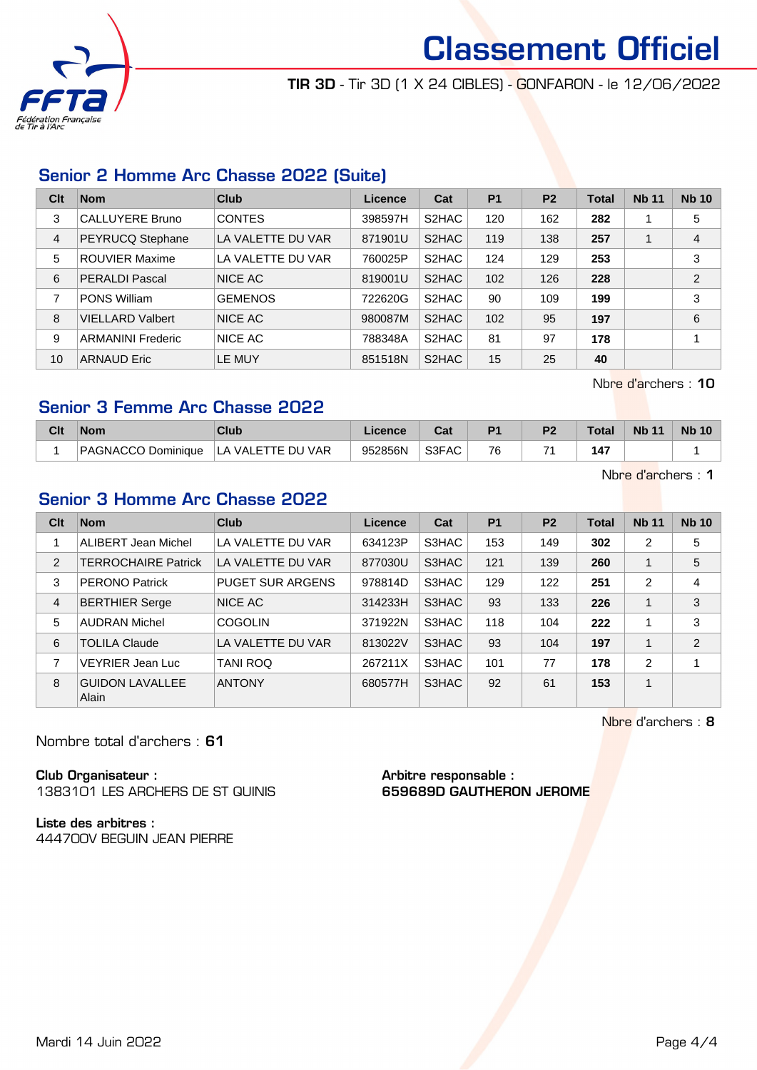

TIR 3D - Tir 3D (1 X 24 CIBLES) - GONFARON - le 12/06/2022

# Senior 2 Homme Arc Chasse 2022 (Suite)

| Clt | <b>Nom</b>               | Club              | Licence | Cat   | <b>P1</b> | P <sub>2</sub> | <b>Total</b> | <b>Nb 11</b> | <b>Nb 10</b>   |
|-----|--------------------------|-------------------|---------|-------|-----------|----------------|--------------|--------------|----------------|
| 3   | <b>CALLUYERE Bruno</b>   | <b>CONTES</b>     | 398597H | S2HAC | 120       | 162            | 282          |              | 5              |
| 4   | PEYRUCQ Stephane         | LA VALETTE DU VAR | 871901U | S2HAC | 119       | 138            | 257          |              | 4              |
| 5   | <b>ROUVIER Maxime</b>    | LA VALETTE DU VAR | 760025P | S2HAC | 124       | 129            | 253          |              | 3              |
| 6   | <b>PERALDI Pascal</b>    | <b>NICE AC</b>    | 819001U | S2HAC | 102       | 126            | 228          |              | $\overline{2}$ |
| 7   | <b>PONS William</b>      | <b>GEMENOS</b>    | 722620G | S2HAC | 90        | 109            | 199          |              | 3              |
| 8   | <b>VIELLARD Valbert</b>  | <b>NICE AC</b>    | 980087M | S2HAC | 102       | 95             | 197          |              | 6              |
| 9   | <b>ARMANINI Frederic</b> | NICE AC           | 788348A | S2HAC | 81        | 97             | 178          |              |                |
| 10  | <b>ARNAUD Eric</b>       | LE MUY            | 851518N | S2HAC | 15        | 25             | 40           |              |                |

Nbre d'archers : 10

# Senior 3 Femme Arc Chasse 2022

| Clt | <b>Nom</b>         | Club                        | Licence | <b>Take</b> | D4 | D. | Total <sub>z</sub> | <b>N<sub>b</sub></b> | <b>Nb 10</b> |
|-----|--------------------|-----------------------------|---------|-------------|----|----|--------------------|----------------------|--------------|
|     | PAGNACCO Dominique | <b>VAR</b><br>LA VALETTE DU | 952856N | S3FAC       | 76 |    | 147                |                      |              |

Nbre d'archers : 1

# Senior 3 Homme Arc Chasse 2022

| Clt            | <b>Nom</b>                             | Club                    | Licence | Cat   | P <sub>1</sub> | <b>P2</b> | <b>Total</b> | <b>Nb 11</b>   | <b>Nb 10</b> |
|----------------|----------------------------------------|-------------------------|---------|-------|----------------|-----------|--------------|----------------|--------------|
|                | ALIBERT Jean Michel                    | LA VALETTE DU VAR       | 634123P | S3HAC | 153            | 149       | 302          | $\overline{2}$ | 5            |
| $\overline{2}$ | <b>TERROCHAIRE Patrick</b>             | LA VALETTE DU VAR       | 877030U | S3HAC | 121            | 139       | 260          |                | 5            |
| 3              | <b>PERONO Patrick</b>                  | <b>PUGET SUR ARGENS</b> | 978814D | S3HAC | 129            | 122       | 251          | 2              | 4            |
| 4              | <b>BERTHIER Serge</b>                  | NICE AC                 | 314233H | S3HAC | 93             | 133       | 226          |                | 3            |
| 5              | <b>AUDRAN Michel</b>                   | <b>COGOLIN</b>          | 371922N | S3HAC | 118            | 104       | 222          |                | 3            |
| 6              | <b>TOLILA Claude</b>                   | LA VALETTE DU VAR       | 813022V | S3HAC | 93             | 104       | 197          |                | 2            |
| 7              | VEYRIER Jean Luc                       | <b>TANI ROQ</b>         | 267211X | S3HAC | 101            | 77        | 178          | $\mathcal{P}$  |              |
| 8              | <b>GUIDON LAVALLEE</b><br><b>Alain</b> | <b>ANTONY</b>           | 680577H | S3HAC | 92             | 61        | 153          | 1              |              |

Nbre d'archers : 8

Nombre total d'archers : 61

Club Organisateur : 1383101 LES ARCHERS DE ST QUINIS

Liste des arbitres : 444700V BEGUIN JEAN PIERRE Arbitre responsable : 659689D GAUTHERON JEROME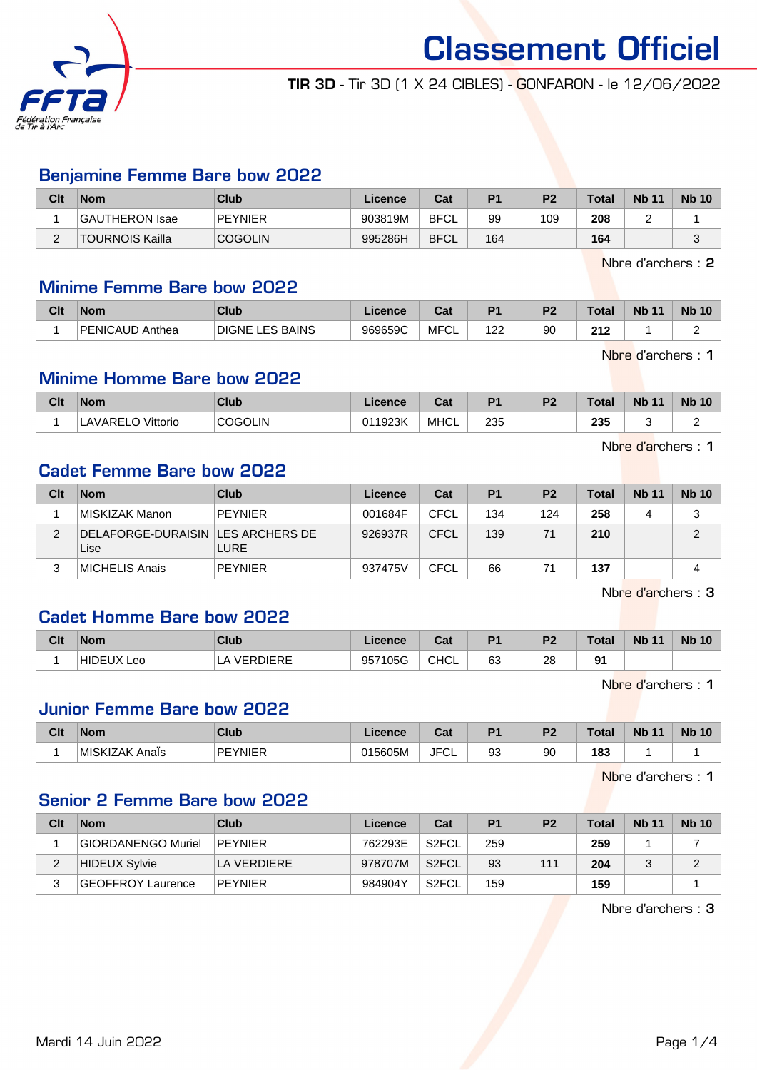

TIR 3D - Tir 3D (1 X 24 CIBLES) - GONFARON - le 12/06/2022

#### Benjamine Femme Bare bow 2022

| Clt | <b>Nom</b>      | Club           | Licence | Cat         | P <sub>1</sub> | P <sub>2</sub> | <b>Total</b> | <b>Nb 11</b> | <b>Nb 10</b> |
|-----|-----------------|----------------|---------|-------------|----------------|----------------|--------------|--------------|--------------|
|     | GAUTHERON Isae  | <b>PEYNIER</b> | 903819M | BFCL        | 99             | 109            | 208          |              |              |
| ⌒   | TOURNOIS Kailla | <b>COGOLIN</b> | 995286H | <b>BFCL</b> | 164            |                | 164          |              |              |

Nbre d'archers : 2

#### Minime Femme Bare bow 2022

| Clt | <b>Nom</b>                  | Club                      | icence  | יה<br>⊍م  | D <sub>1</sub>        | D <sub>2</sub> | <b>Total</b> | <b>Nb</b><br>$\overline{A}$ | <b>Nb</b><br>10 |
|-----|-----------------------------|---------------------------|---------|-----------|-----------------------|----------------|--------------|-----------------------------|-----------------|
|     | <b>PENICAUD</b><br>) Anthea | LES BAINS<br><b>DIGNE</b> | 969659C | MFC<br>◡∟ | າດຕ<br>. <i>. .</i> . | 90             | 242<br>▴▮▴   |                             |                 |

Nbre d'archers : 1

#### Minime Homme Bare bow 2022

| Clt | <b>Nom</b>           | Club           | .icence | ◠_,<br>va.  | D <sub>1</sub> | D <sub>2</sub> | <b>Total</b> | <b>Nb</b> | <b>Nb</b><br>10 |
|-----|----------------------|----------------|---------|-------------|----------------|----------------|--------------|-----------|-----------------|
|     | `Vittorio<br>AVARELO | <b>COGOLIN</b> | 011923K | <b>MHCL</b> | 235<br>- -     |                | 235<br>- -   |           |                 |

Nbre d'archers : 1

# Cadet Femme Bare bow 2022

| Clt | <b>Nom</b>                                  | <b>Club</b>    | Licence | Cat         | P <sub>1</sub> | P <sub>2</sub> | <b>Total</b> | <b>Nb 11</b> | <b>Nb 10</b> |
|-----|---------------------------------------------|----------------|---------|-------------|----------------|----------------|--------------|--------------|--------------|
|     | MISKIZAK Manon                              | <b>PEYNIER</b> | 001684F | CFCL        | 134            | 124            | 258          |              | 3            |
| 2   | DELAFORGE-DURAISIN   LES ARCHERS DE<br>Lise | <b>LURE</b>    | 926937R | CFCL        | 139            | 71             | 210          |              | ⌒            |
|     | <b>MICHELIS Anais</b>                       | <b>PEYNIER</b> | 937475V | <b>CFCL</b> | 66             | 71             | 137          |              |              |

Nbre d'archers : 3

## Cadet Homme Bare bow 2022

| Clt | <b>Nom</b>             | <b>Club</b>           | <sub>-</sub> icence | $R_{\rm{eff}}$<br>val | D <sub>1</sub> | D <sup>-</sup><br>-4 | <b>Total</b> | <b>Nb 11</b> | <b>Nb 10</b> |
|-----|------------------------|-----------------------|---------------------|-----------------------|----------------|----------------------|--------------|--------------|--------------|
|     | <b>HIDEUX L</b><br>Leo | <b>VERDIERE</b><br>∟∆ | 105G<br>957         | CHCL                  | 63             | 28<br>$\sim$         | Ω1           |              |              |

Nbre d'archers : 1

#### Junior Femme Bare bow 2022

| Clt | <b>Nom</b>                | Club                | ∟icence | ⊶ ∼<br>υa              | D <sub>4</sub> | D0 | Total | <b>Nb</b><br>$\overline{A}$ | <b>N<sub>b</sub></b><br>10 |
|-----|---------------------------|---------------------|---------|------------------------|----------------|----|-------|-----------------------------|----------------------------|
|     | <b>IMISKIZAK</b><br>Anals | <b>PFYNIFR</b><br>. | 015605M | JFC <sup>-</sup><br>◡∟ | 93             | 90 | 183   |                             |                            |

Nbre d'archers : 1

#### Senior 2 Femme Bare bow 2022

| Clt | <b>Nom</b>               | Club           | Licence | Cat                | P <sub>1</sub> | P <sub>2</sub> | <b>Total</b> | <b>Nb 11</b> | <b>Nb 10</b> |
|-----|--------------------------|----------------|---------|--------------------|----------------|----------------|--------------|--------------|--------------|
|     | GIORDANENGO Muriel       | PEYNIER        | 762293E | S <sub>2</sub> FCL | 259            |                | 259          |              |              |
|     | <b>HIDEUX Sylvie</b>     | LA VERDIERE    | 978707M | S <sub>2</sub> FCL | 93             | 111            | 204          |              | ົ            |
|     | <b>GEOFFROY Laurence</b> | <b>PEYNIER</b> | 984904Y | S <sub>2</sub> FCL | 159            |                | 159          |              |              |

Nbre d'archers : 3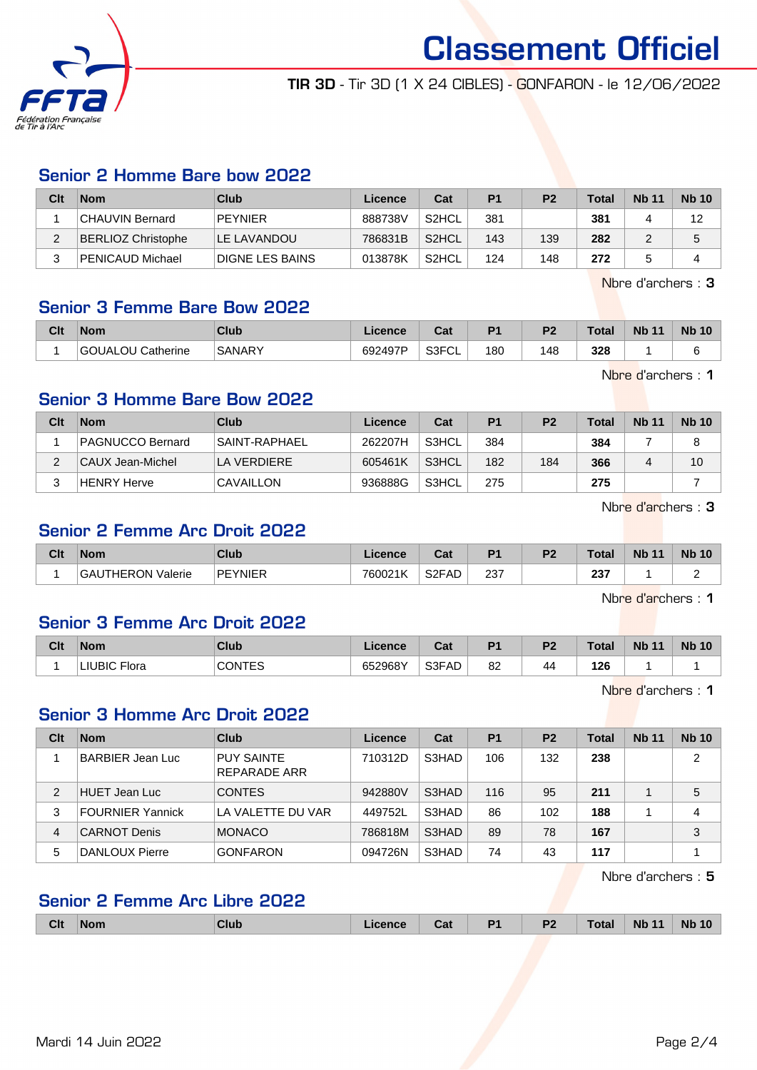

TIR 3D - Tir 3D (1 X 24 CIBLES) - GONFARON - le 12/06/2022

## Senior 2 Homme Bare bow 2022

| Clt | <b>Nom</b>         | Club                   | Licence | Cat                | P <sub>1</sub> | P <sub>2</sub> | Total | <b>Nb 11</b> | <b>Nb 10</b> |
|-----|--------------------|------------------------|---------|--------------------|----------------|----------------|-------|--------------|--------------|
|     | CHAUVIN Bernard    | PEYNIER                | 888738V | S <sub>2</sub> HCL | 381            |                | 381   |              | 12           |
| ∠   | BERLIOZ Christophe | LE LAVANDOU            | 786831B | S <sub>2</sub> HCL | 143            | 139            | 282   |              |              |
|     | PENICAUD Michael   | <b>DIGNE LES BAINS</b> | 013878K | S <sub>2</sub> HCL | 124            | 148            | 272   |              |              |

Nbre d'archers : 3

#### Senior 3 Femme Bare Bow 2022

| Clt | <b>Nom</b>        | Club          | Licence | <b>Date</b><br>⊍α          | D <sub>1</sub> | D <sub>2</sub> | Total | <b>Nb 11</b> | <b>Nb 10</b> |
|-----|-------------------|---------------|---------|----------------------------|----------------|----------------|-------|--------------|--------------|
|     | GOUALOU Catherine | <b>SANARY</b> | 692497P | <b>G3EUL</b><br>ັບ∟<br>וטט | 180            | 148            | 328   |              |              |

Nbre d'archers : 1

## Senior 3 Homme Bare Bow 2022

| Clt | <b>Nom</b>         | Club          | ∟icence | Cat   | <b>P1</b> | P <sub>2</sub> | Total | <b>Nb 11</b> | <b>Nb 10</b> |
|-----|--------------------|---------------|---------|-------|-----------|----------------|-------|--------------|--------------|
|     | PAGNUCCO Bernard   | SAINT-RAPHAEL | 262207H | S3HCL | 384       |                | 384   |              |              |
| ົ   | CAUX Jean-Michel   | LA VERDIERE   | 605461K | S3HCL | 182       | 184            | 366   |              | 10           |
|     | <b>HENRY Herve</b> | CAVAILLON     | 936888G | S3HCL | 275       |                | 275   |              |              |

Nbre d'archers : 3

## Senior 2 Femme Arc Droit 2022

| Clt | <b>Nom</b>               | Club           | Licence | ົີີ່<br>uai | D <sub>1</sub> | D <sub>2</sub> | <b>Total</b>  | <b>Nb 11</b> | <b>Nb 10</b> |
|-----|--------------------------|----------------|---------|-------------|----------------|----------------|---------------|--------------|--------------|
|     | <b>GAUTHERON Valerie</b> | <b>PEYNIER</b> | 760021K | S2FAD       | 237<br>$\sim$  |                | 237<br>$\sim$ |              |              |

Nbre d'archers : 1

## Senior 3 Femme Arc Droit 2022

| Clt | <b>Nom</b>             | Club          | Licence | <b>Date</b><br>ual | D <sub>1</sub> | D <sub>2</sub><br>∼ | <b>Total</b> | <b>Nb 11</b> | <b>Nb</b><br>10 |
|-----|------------------------|---------------|---------|--------------------|----------------|---------------------|--------------|--------------|-----------------|
|     | Flora<br><b>LIUBIC</b> | <b>CONTES</b> | 652968Y | $\sqrt{3FAD}$      | 82             | 44                  | 126          |              |                 |

Nbre d'archers : 1

#### Senior 3 Homme Arc Droit 2022

| Clt | <b>Nom</b>              | Club                                     | Licence | Cat   | <b>P1</b> | P <sub>2</sub> | Total | <b>Nb 11</b> | <b>Nb 10</b>   |
|-----|-------------------------|------------------------------------------|---------|-------|-----------|----------------|-------|--------------|----------------|
|     | BARBIER Jean Luc        | <b>PUY SAINTE</b><br><b>REPARADE ARR</b> | 710312D | S3HAD | 106       | 132            | 238   |              | $\overline{2}$ |
| 2   | HUET Jean Luc           | <b>CONTES</b>                            | 942880V | S3HAD | 116       | 95             | 211   |              | 5              |
| 3   | <b>FOURNIER Yannick</b> | LA VALETTE DU VAR                        | 449752L | S3HAD | 86        | 102            | 188   |              | 4              |
| 4   | <b>CARNOT Denis</b>     | <b>MONACO</b>                            | 786818M | S3HAD | 89        | 78             | 167   |              | 3              |
| 5   | DANLOUX Pierre          | <b>GONFARON</b>                          | 094726N | S3HAD | 74        | 43             | 117   |              |                |

Nbre d'archers : 5

# Senior 2 Femme Arc Libre 2022

|  | <b>Clt</b> | <b>Nom</b> | Club |  | Cat | D4 | <b>D<sub>0</sub></b> | Total | <b>Nb</b> | <b>N<sub>b</sub></b><br>10 |
|--|------------|------------|------|--|-----|----|----------------------|-------|-----------|----------------------------|
|--|------------|------------|------|--|-----|----|----------------------|-------|-----------|----------------------------|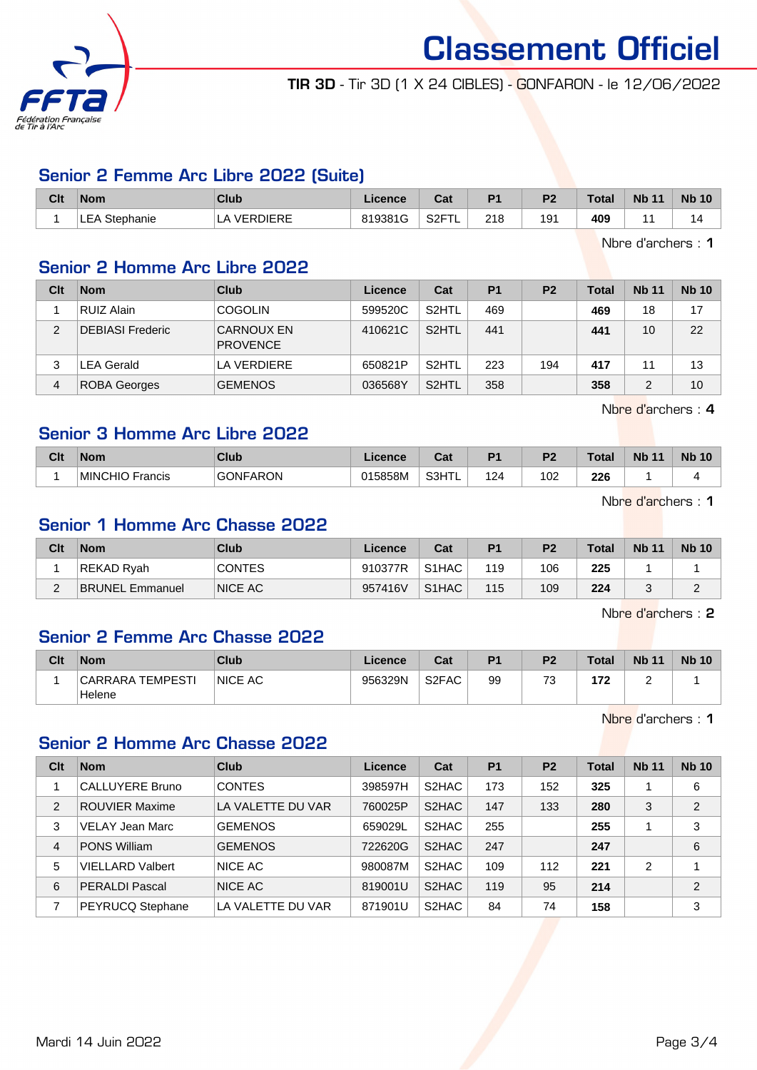

TIR 3D - Tir 3D (1 X 24 CIBLES) - GONFARON - le 12/06/2022

## Senior 2 Femme Arc Libre 2022 (Suite)

| Clt | <b>Nom</b>    | Club            | Licence | $R_{\rm{eff}}$<br><b>val</b>  | D <sub>1</sub> | D <sub>2</sub> | $\tau$ otal | <b>Nb</b><br>11 | <b>Nb 10</b> |
|-----|---------------|-----------------|---------|-------------------------------|----------------|----------------|-------------|-----------------|--------------|
|     | LEA Stephanie | <b>VERDIERE</b> | 819381G | S <sub>2</sub> FT<br><u>_</u> | 21 R<br>21 O   | 191            | 409         |                 | ıΔ           |

Nbre d'archers : 1

## Senior 2 Homme Arc Libre 2022

| Clt            | <b>Nom</b>              | Club                                 | Licence | Cat                | P <sub>1</sub> | P <sub>2</sub> | <b>Total</b> | <b>Nb 11</b> | <b>Nb 10</b> |
|----------------|-------------------------|--------------------------------------|---------|--------------------|----------------|----------------|--------------|--------------|--------------|
|                | <b>RUIZ Alain</b>       | <b>COGOLIN</b>                       | 599520C | S2HTL              | 469            |                | 469          | 18           | 17           |
| $\mathfrak{p}$ | <b>DEBIASI Frederic</b> | <b>CARNOUX EN</b><br><b>PROVENCE</b> | 410621C | S <sub>2</sub> HTL | 441            |                | 441          | 10           | 22           |
| 3              | LEA Gerald              | LA VERDIERE                          | 650821P | S <sub>2</sub> HTL | 223            | 194            | 417          | 11           | 13           |
| 4              | <b>ROBA Georges</b>     | <b>GEMENOS</b>                       | 036568Y | S <sub>2</sub> HTL | 358            |                | 358          |              | 10           |

Nbre d'archers : 4

# Senior 3 Homme Arc Libre 2022

| Clt | <b>Nom</b>                   | Club            | <b>licence</b> | ∩∼<br>val | D.  | D.  | Total | <b>N<sub>b</sub></b><br>$\overline{A}$ | <b>N<sub>b</sub></b><br>$\Lambda$ $\Lambda$ |
|-----|------------------------------|-----------------|----------------|-----------|-----|-----|-------|----------------------------------------|---------------------------------------------|
|     | <b>MINCHIO Fr</b><br>Francis | <b>GONFARON</b> | 015858M        | S3HTL     | 124 | 102 | 226   |                                        |                                             |

Nbre d'archers : 1

# Senior 1 Homme Arc Chasse 2022

| Clt | <b>Nom</b>             | Club          | Licence | Cat                | P <sub>1</sub> | P <sub>2</sub> | <b>Total</b> | <b>Nb 11</b> | <b>Nb 10</b> |
|-----|------------------------|---------------|---------|--------------------|----------------|----------------|--------------|--------------|--------------|
|     | REKAD Ryah             | <b>CONTES</b> | 910377R | S <sub>1</sub> HAC | 119            | 106            | 225          |              |              |
| -   | <b>BRUNEL Emmanuel</b> | NICE AC       | 957416V | S <sub>1</sub> HAC | 115            | 109            | 224          |              |              |

Nbre d'archers : 2

## Senior 2 Femme Arc Chasse 2022

| Clt | <b>Nom</b>                        | <b>Club</b>    | Licence | Cat                | P1 | P <sub>2</sub>                | Total | <b>Nb 11</b> | <b>Nb 10</b> |
|-----|-----------------------------------|----------------|---------|--------------------|----|-------------------------------|-------|--------------|--------------|
|     | <b>CARRARA TEMPESTI</b><br>Helene | <b>NICE AC</b> | 956329N | S <sub>2</sub> FAC | 99 | $\overline{\phantom{a}}$<br>J | 172   |              |              |

Nbre d'archers : 1

## Senior 2 Homme Arc Chasse 2022

| Clt            | <b>Nom</b>              | Club              | Licence | Cat                | P <sub>1</sub> | P <sub>2</sub> | <b>Total</b> | <b>Nb 11</b> | <b>Nb 10</b>   |
|----------------|-------------------------|-------------------|---------|--------------------|----------------|----------------|--------------|--------------|----------------|
|                | <b>CALLUYERE Bruno</b>  | <b>CONTES</b>     | 398597H | S2HAC              | 173            | 152            | 325          |              | 6              |
| $\overline{2}$ | <b>ROUVIER Maxime</b>   | LA VALETTE DU VAR | 760025P | S <sub>2</sub> HAC | 147            | 133            | 280          | 3            | $\overline{2}$ |
| 3              | VELAY Jean Marc         | <b>GEMENOS</b>    | 659029L | S2HAC              | 255            |                | 255          |              | 3              |
| $\overline{4}$ | <b>PONS William</b>     | <b>GEMENOS</b>    | 722620G | S2HAC              | 247            |                | 247          |              | 6              |
| 5              | <b>VIELLARD Valbert</b> | NICE AC           | 980087M | S2HAC              | 109            | 112            | 221          | 2            | 4              |
| 6              | <b>PERALDI Pascal</b>   | NICE AC           | 819001U | S <sub>2</sub> HAC | 119            | 95             | 214          |              | 2              |
|                | PEYRUCQ Stephane        | LA VALETTE DU VAR | 871901U | S2HAC              | 84             | 74             | 158          |              | 3              |